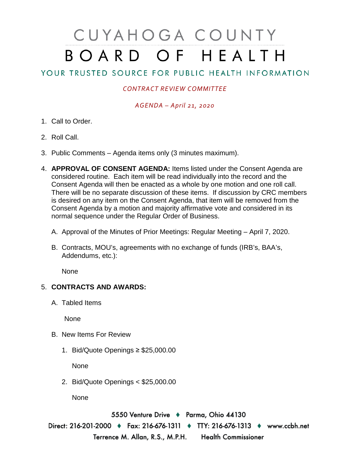# CUYAHOGA COUNTY BOARD OF HEALTH

## YOUR TRUSTED SOURCE FOR PUBLIC HEALTH INFORMATION

### *CONTRACT REVIEW COMMITTEE*

#### *AGENDA – April 21, 2020*

- 1. Call to Order.
- 2. Roll Call.
- 3. Public Comments Agenda items only (3 minutes maximum).
- 4. **APPROVAL OF CONSENT AGENDA:** Items listed under the Consent Agenda are considered routine. Each item will be read individually into the record and the Consent Agenda will then be enacted as a whole by one motion and one roll call. There will be no separate discussion of these items. If discussion by CRC members is desired on any item on the Consent Agenda, that item will be removed from the Consent Agenda by a motion and majority affirmative vote and considered in its normal sequence under the Regular Order of Business.
	- A. Approval of the Minutes of Prior Meetings: Regular Meeting April 7, 2020.
	- B. Contracts, MOU's, agreements with no exchange of funds (IRB's, BAA's, Addendums, etc.):

None

### 5. **CONTRACTS AND AWARDS:**

A. Tabled Items

None

- B. New Items For Review
	- 1. Bid/Quote Openings ≥ \$25,000.00

None

2. Bid/Quote Openings < \$25,000.00

None

5550 Venture Drive + Parma, Ohio 44130 Direct: 216-201-2000 ♦ Fax: 216-676-1311 ♦ TTY: 216-676-1313 ♦ www.ccbh.net Terrence M. Allan, R.S., M.P.H. Health Commissioner